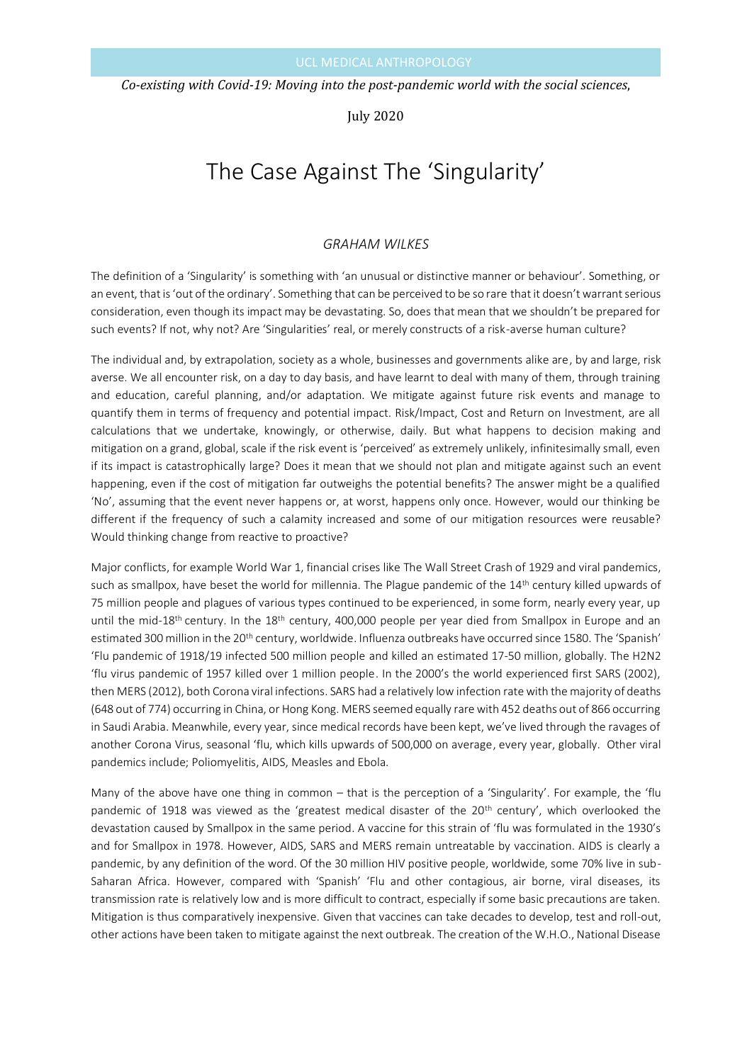*Co-existing with Covid-19: Moving into the post-pandemic world with the social sciences*,

July 2020

# The Case Against The 'Singularity'

## *GRAHAM WILKES*

The definition of a 'Singularity' is something with 'an unusual or distinctive manner or behaviour'. Something, or an event, that is 'out of the ordinary'. Something that can be perceived to be so rare that it doesn't warrant serious consideration, even though its impact may be devastating. So, does that mean that we shouldn't be prepared for such events? If not, why not? Are 'Singularities' real, or merely constructs of a risk-averse human culture?

The individual and, by extrapolation, society as a whole, businesses and governments alike are, by and large, risk averse. We all encounter risk, on a day to day basis, and have learnt to deal with many of them, through training and education, careful planning, and/or adaptation. We mitigate against future risk events and manage to quantify them in terms of frequency and potential impact. Risk/Impact, Cost and Return on Investment, are all calculations that we undertake, knowingly, or otherwise, daily. But what happens to decision making and mitigation on a grand, global, scale if the risk event is 'perceived' as extremely unlikely, infinitesimally small, even if its impact is catastrophically large? Does it mean that we should not plan and mitigate against such an event happening, even if the cost of mitigation far outweighs the potential benefits? The answer might be a qualified 'No', assuming that the event never happens or, at worst, happens only once. However, would our thinking be different if the frequency of such a calamity increased and some of our mitigation resources were reusable? Would thinking change from reactive to proactive?

Major conflicts, for example World War 1, financial crises like The Wall Street Crash of 1929 and viral pandemics, such as smallpox, have beset the world for millennia. The Plague pandemic of the 14<sup>th</sup> century killed upwards of 75 million people and plagues of various types continued to be experienced, in some form, nearly every year, up until the mid-18<sup>th</sup> century. In the 18<sup>th</sup> century, 400,000 people per year died from Smallpox in Europe and an estimated 300 million in the 20<sup>th</sup> century, worldwide. Influenza outbreaks have occurred since 1580. The 'Spanish' 'Flu pandemic of 1918/19 infected 500 million people and killed an estimated 17-50 million, globally. The H2N2 'flu virus pandemic of 1957 killed over 1 million people. In the 2000's the world experienced first SARS (2002), then MERS (2012), both Corona viral infections. SARS had a relatively low infection rate with the majority of deaths (648 out of 774) occurring in China, or Hong Kong. MERS seemed equally rare with 452 deaths out of 866 occurring in Saudi Arabia. Meanwhile, every year, since medical records have been kept, we've lived through the ravages of another Corona Virus, seasonal 'flu, which kills upwards of 500,000 on average, every year, globally. Other viral pandemics include; Poliomyelitis, AIDS, Measles and Ebola.

Many of the above have one thing in common – that is the perception of a 'Singularity'. For example, the 'flu pandemic of 1918 was viewed as the 'greatest medical disaster of the 20<sup>th</sup> century', which overlooked the devastation caused by Smallpox in the same period. A vaccine for this strain of 'flu was formulated in the 1930's and for Smallpox in 1978. However, AIDS, SARS and MERS remain untreatable by vaccination. AIDS is clearly a pandemic, by any definition of the word. Of the 30 million HIV positive people, worldwide, some 70% live in sub-Saharan Africa. However, compared with 'Spanish' 'Flu and other contagious, air borne, viral diseases, its transmission rate is relatively low and is more difficult to contract, especially if some basic precautions are taken. Mitigation is thus comparatively inexpensive. Given that vaccines can take decades to develop, test and roll-out, other actions have been taken to mitigate against the next outbreak. The creation of the W.H.O., National Disease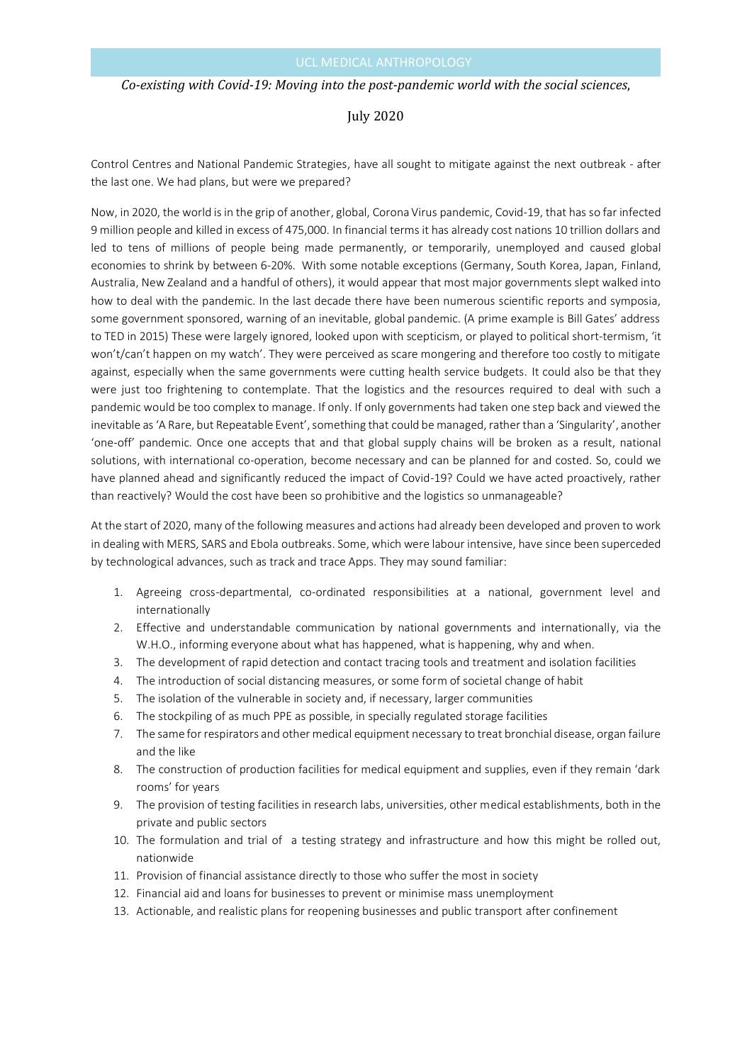#### *Co-existing with Covid-19: Moving into the post-pandemic world with the social sciences*,

## July 2020

Control Centres and National Pandemic Strategies, have all sought to mitigate against the next outbreak - after the last one. We had plans, but were we prepared?

Now, in 2020, the world is in the grip of another, global, Corona Virus pandemic, Covid-19, that has so far infected 9 million people and killed in excess of 475,000. In financial terms it has already cost nations 10 trillion dollars and led to tens of millions of people being made permanently, or temporarily, unemployed and caused global economies to shrink by between 6-20%. With some notable exceptions (Germany, South Korea, Japan, Finland, Australia, New Zealand and a handful of others), it would appear that most major governments slept walked into how to deal with the pandemic. In the last decade there have been numerous scientific reports and symposia, some government sponsored, warning of an inevitable, global pandemic. (A prime example is Bill Gates' address to TED in 2015) These were largely ignored, looked upon with scepticism, or played to political short-termism, 'it won't/can't happen on my watch'. They were perceived as scare mongering and therefore too costly to mitigate against, especially when the same governments were cutting health service budgets. It could also be that they were just too frightening to contemplate. That the logistics and the resources required to deal with such a pandemic would be too complex to manage. If only. If only governments had taken one step back and viewed the inevitable as 'A Rare, but Repeatable Event', something that could be managed, rather than a 'Singularity', another 'one-off' pandemic. Once one accepts that and that global supply chains will be broken as a result, national solutions, with international co-operation, become necessary and can be planned for and costed. So, could we have planned ahead and significantly reduced the impact of Covid-19? Could we have acted proactively, rather than reactively? Would the cost have been so prohibitive and the logistics so unmanageable?

At the start of 2020, many of the following measures and actions had already been developed and proven to work in dealing with MERS, SARS and Ebola outbreaks. Some, which were labour intensive, have since been superceded by technological advances, such as track and trace Apps. They may sound familiar:

- 1. Agreeing cross-departmental, co-ordinated responsibilities at a national, government level and internationally
- 2. Effective and understandable communication by national governments and internationally, via the W.H.O., informing everyone about what has happened, what is happening, why and when.
- 3. The development of rapid detection and contact tracing tools and treatment and isolation facilities
- 4. The introduction of social distancing measures, or some form of societal change of habit
- 5. The isolation of the vulnerable in society and, if necessary, larger communities
- 6. The stockpiling of as much PPE as possible, in specially regulated storage facilities
- 7. The same for respirators and other medical equipment necessary to treat bronchial disease, organ failure and the like
- 8. The construction of production facilities for medical equipment and supplies, even if they remain 'dark rooms' for years
- 9. The provision of testing facilities in research labs, universities, other medical establishments, both in the private and public sectors
- 10. The formulation and trial of a testing strategy and infrastructure and how this might be rolled out, nationwide
- 11. Provision of financial assistance directly to those who suffer the most in society
- 12. Financial aid and loans for businesses to prevent or minimise mass unemployment
- 13. Actionable, and realistic plans for reopening businesses and public transport after confinement